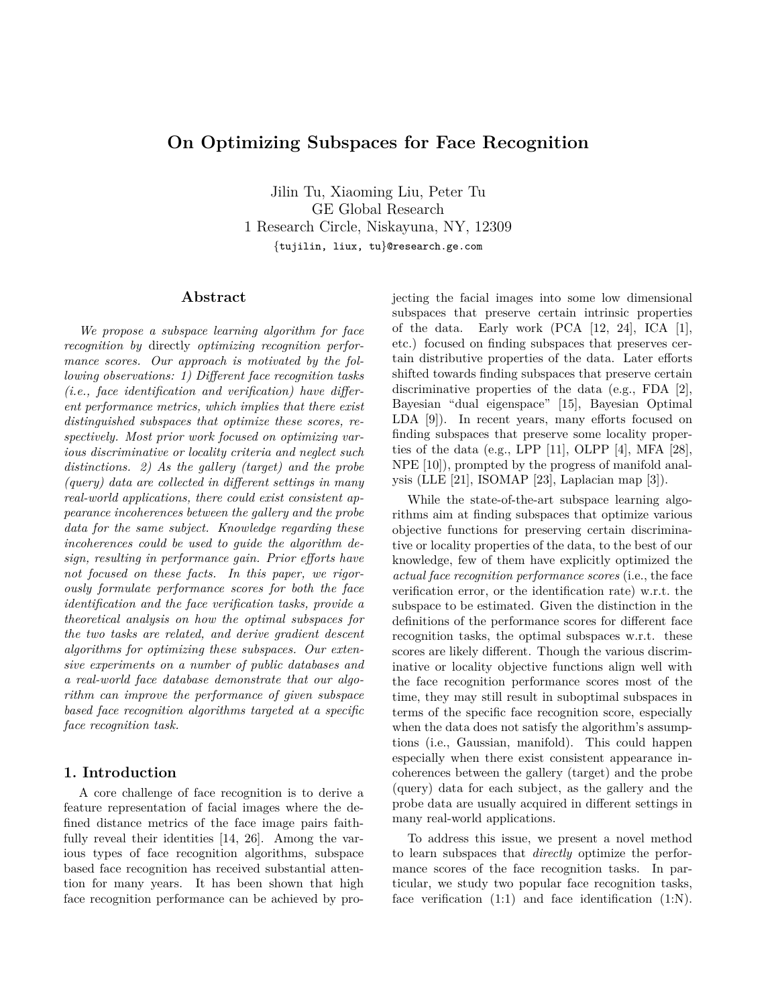## **On Optimizing Subspaces for Face Recognition**

Jilin Tu, Xiaoming Liu, Peter Tu GE Global Research 1 Research Circle, Niskayuna, NY, 12309 {tujilin, liux, tu}@research.ge.com

### **Abstract**

*We propose a subspace learning algorithm for face recognition by* directly *optimizing recognition performance scores. Our approach is motivated by the following observations: 1) Different face recognition tasks (i.e., face identification and verification) have different performance metrics, which implies that there exist distinguished subspaces that optimize these scores, respectively. Most prior work focused on optimizing various discriminative or locality criteria and neglect such distinctions. 2) As the gallery (target) and the probe (query) data are collected in different settings in many real-world applications, there could exist consistent appearance incoherences between the gallery and the probe data for the same subject. Knowledge regarding these incoherences could be used to guide the algorithm design, resulting in performance gain. Prior efforts have not focused on these facts. In this paper, we rigorously formulate performance scores for both the face identification and the face verification tasks, provide a theoretical analysis on how the optimal subspaces for the two tasks are related, and derive gradient descent algorithms for optimizing these subspaces. Our extensive experiments on a number of public databases and a real-world face database demonstrate that our algorithm can improve the performance of given subspace based face recognition algorithms targeted at a specific face recognition task.*

## **1. Introduction**

A core challenge of face recognition is to derive a feature representation of facial images where the defined distance metrics of the face image pairs faithfully reveal their identities [14, 26]. Among the various types of face recognition algorithms, subspace based face recognition has received substantial attention for many years. It has been shown that high face recognition performance can be achieved by projecting the facial images into some low dimensional subspaces that preserve certain intrinsic properties of the data. Early work (PCA [12, 24], ICA [1], etc.) focused on finding subspaces that preserves certain distributive properties of the data. Later efforts shifted towards finding subspaces that preserve certain discriminative properties of the data (e.g., FDA [2], Bayesian "dual eigenspace" [15], Bayesian Optimal LDA [9]). In recent years, many efforts focused on finding subspaces that preserve some locality properties of the data (e.g., LPP  $[11]$ , OLPP  $[4]$ , MFA  $[28]$ , NPE [10]), prompted by the progress of manifold analysis (LLE [21], ISOMAP [23], Laplacian map [3]).

While the state-of-the-art subspace learning algorithms aim at finding subspaces that optimize various objective functions for preserving certain discriminative or locality properties of the data, to the best of our knowledge, few of them have explicitly optimized the *actual face recognition performance scores* (i.e., the face verification error, or the identification rate) w.r.t. the subspace to be estimated. Given the distinction in the definitions of the performance scores for different face recognition tasks, the optimal subspaces w.r.t. these scores are likely different. Though the various discriminative or locality objective functions align well with the face recognition performance scores most of the time, they may still result in suboptimal subspaces in terms of the specific face recognition score, especially when the data does not satisfy the algorithm's assumptions (i.e., Gaussian, manifold). This could happen especially when there exist consistent appearance incoherences between the gallery (target) and the probe (query) data for each subject, as the gallery and the probe data are usually acquired in different settings in many real-world applications.

To address this issue, we present a novel method to learn subspaces that *directly* optimize the performance scores of the face recognition tasks. In particular, we study two popular face recognition tasks, face verification  $(1:1)$  and face identification  $(1:N)$ .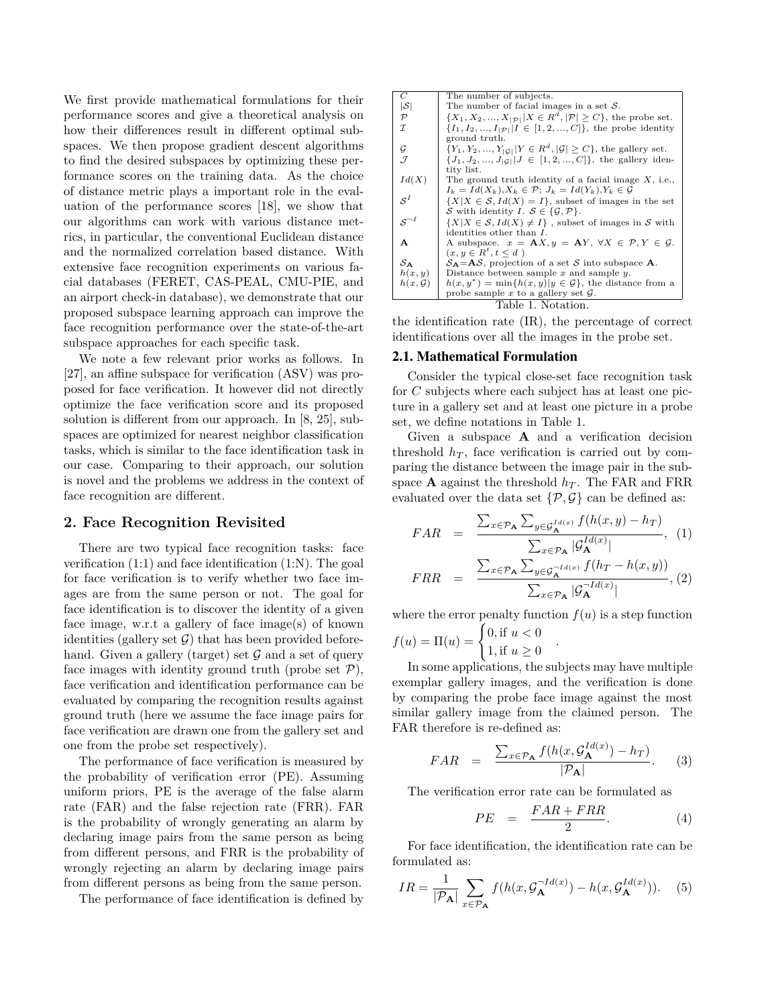We first provide mathematical formulations for their performance scores and give a theoretical analysis on how their differences result in different optimal subspaces. We then propose gradient descent algorithms to find the desired subspaces by optimizing these performance scores on the training data. As the choice of distance metric plays a important role in the evaluation of the performance scores [18], we show that our algorithms can work with various distance metrics, in particular, the conventional Euclidean distance and the normalized correlation based distance. With extensive face recognition experiments on various facial databases (FERET, CAS-PEAL, CMU-PIE, and an airport check-in database), we demonstrate that our proposed subspace learning approach can improve the face recognition performance over the state-of-the-art subspace approaches for each specific task.

We note a few relevant prior works as follows. In [27], an affine subspace for verification (ASV) was proposed for face verification. It however did not directly optimize the face verification score and its proposed solution is different from our approach. In [8, 25], subspaces are optimized for nearest neighbor classification tasks, which is similar to the face identification task in our case. Comparing to their approach, our solution is novel and the problems we address in the context of face recognition are different.

## **2. Face Recognition Revisited**

There are two typical face recognition tasks: face verification  $(1:1)$  and face identification  $(1:N)$ . The goal for face verification is to verify whether two face images are from the same person or not. The goal for face identification is to discover the identity of a given face image, w.r.t a gallery of face image(s) of known identities (gallery set  $\mathcal{G}$ ) that has been provided beforehand. Given a gallery (target) set  $\mathcal G$  and a set of query face images with identity ground truth (probe set  $P$ ), face verification and identification performance can be evaluated by comparing the recognition results against ground truth (here we assume the face image pairs for face verification are drawn one from the gallery set and one from the probe set respectively).

The performance of face verification is measured by the probability of verification error (PE). Assuming uniform priors, PE is the average of the false alarm rate (FAR) and the false rejection rate (FRR). FAR is the probability of wrongly generating an alarm by declaring image pairs from the same person as being from different persons, and FRR is the probability of wrongly rejecting an alarm by declaring image pairs from different persons as being from the same person.

The performance of face identification is defined by

| C                   | The number of subjects.                                                                |
|---------------------|----------------------------------------------------------------------------------------|
| $ \mathcal{S} $     | The number of facial images in a set $S$ .                                             |
| $\mathcal P$        | $\{X_1, X_2, , X_{ \mathcal{P} }   X \in R^d,  \mathcal{P}  \geq C\}$ , the probe set. |
| $\mathcal{I}$       | $\{I_1, I_2, , I_{ \mathcal{P} }   I \in [1, 2, , C]\},\$ the probe identity           |
|                     | ground truth.                                                                          |
| G                   | ${Y_1, Y_2, , Y_{ G }   Y \in R^d,  \mathcal{G}  \ge C},$ the gallery set.             |
| $\mathcal{J}$       | $\{J_1, J_2, , J_{ G }   J \in [1, 2, , C]\},\$ the gallery iden-                      |
|                     | tity list.                                                                             |
| Id(X)               | The ground truth identity of a facial image $X$ , i.e.,                                |
|                     | $I_k = Id(X_k), X_k \in \mathcal{P}; J_k = Id(Y_k), Y_k \in \mathcal{G}$               |
| $S^I$               | $\{X X \in \mathcal{S}, Id(X) = I\}$ , subset of images in the set                     |
|                     | S with identity I. $S \in {\mathcal{G}, \mathcal{P}}$ .                                |
| $S^{-I}$            | $\{X X \in \mathcal{S}, Id(X) \neq I\}$ , subset of images in S with                   |
|                     | identities other than $I$ .                                                            |
| A                   | A subspace. $x = AX, y = AY, \forall X \in \mathcal{P}, Y \in \mathcal{G}$ .           |
|                     | $(x, y \in R^t, t \leq d)$                                                             |
| ${\cal S}_{\bf A}$  | $S_A = AS$ , projection of a set S into subspace A.                                    |
| h(x,y)              | Distance between sample $x$ and sample $y$ .                                           |
| $h(x, \mathcal{G})$ | $h(x, y^*) = \min\{h(x, y) y \in \mathcal{G}\}\$ , the distance from a                 |
|                     | probe sample x to a gallery set $\mathcal G$ .                                         |
|                     | Table 1. Notation.                                                                     |

the identification rate (IR), the percentage of correct identifications over all the images in the probe set.

### 2.1. Mathematical Formulation

Consider the typical close-set face recognition task for *C* subjects where each subject has at least one picture in a gallery set and at least one picture in a probe set, we define notations in Table 1.

Given a subspace **A** and a verification decision threshold  $h_T$ , face verification is carried out by comparing the distance between the image pair in the subspace **A** against the threshold  $h_T$ . The FAR and FRR evaluated over the data set  $\{\mathcal{P}, \mathcal{G}\}\$ can be defined as:

$$
FAR = \frac{\sum_{x \in \mathcal{P}_{\mathbf{A}}} \sum_{y \in \mathcal{G}_{\mathbf{A}}^{Id(x)}} f(h(x, y) - h_T)}{\sum_{x \in \mathcal{P}_{\mathbf{A}}} |\mathcal{G}_{\mathbf{A}}^{Id(x)}|}, (1)
$$

$$
FRR = \frac{\sum_{x \in \mathcal{P}_{\mathbf{A}}} \sum_{y \in \mathcal{G}_{\mathbf{A}}^{-Id(x)}} f(h_T - h(x, y))}{\sum_{x \in \mathcal{P}_{\mathbf{A}}} |\mathcal{G}_{\mathbf{A}}^{-Id(x)}|}, (2)
$$

where the error penalty function  $f(u)$  is a step function

.

$$
f(u) = \Pi(u) = \begin{cases} 0, \text{if } u < 0\\ 1, \text{if } u \ge 0 \end{cases}
$$

In some applications, the subjects may have multiple exemplar gallery images, and the verification is done by comparing the probe face image against the most similar gallery image from the claimed person. The FAR therefore is re-defined as:

$$
FAR = \frac{\sum_{x \in \mathcal{P}_{\mathbf{A}}} f(h(x, \mathcal{G}_{\mathbf{A}}^{Id(x)}) - h_T)}{|\mathcal{P}_{\mathbf{A}}|}.
$$
 (3)

The verification error rate can be formulated as

$$
PE = \frac{FAR + FRR}{2}.
$$
 (4)

For face identification, the identification rate can be formulated as:

$$
IR = \frac{1}{|\mathcal{P}_{\mathbf{A}}|} \sum_{x \in \mathcal{P}_{\mathbf{A}}} f(h(x, \mathcal{G}_{\mathbf{A}}^{-Id(x)}) - h(x, \mathcal{G}_{\mathbf{A}}^{Id(x)})). \tag{5}
$$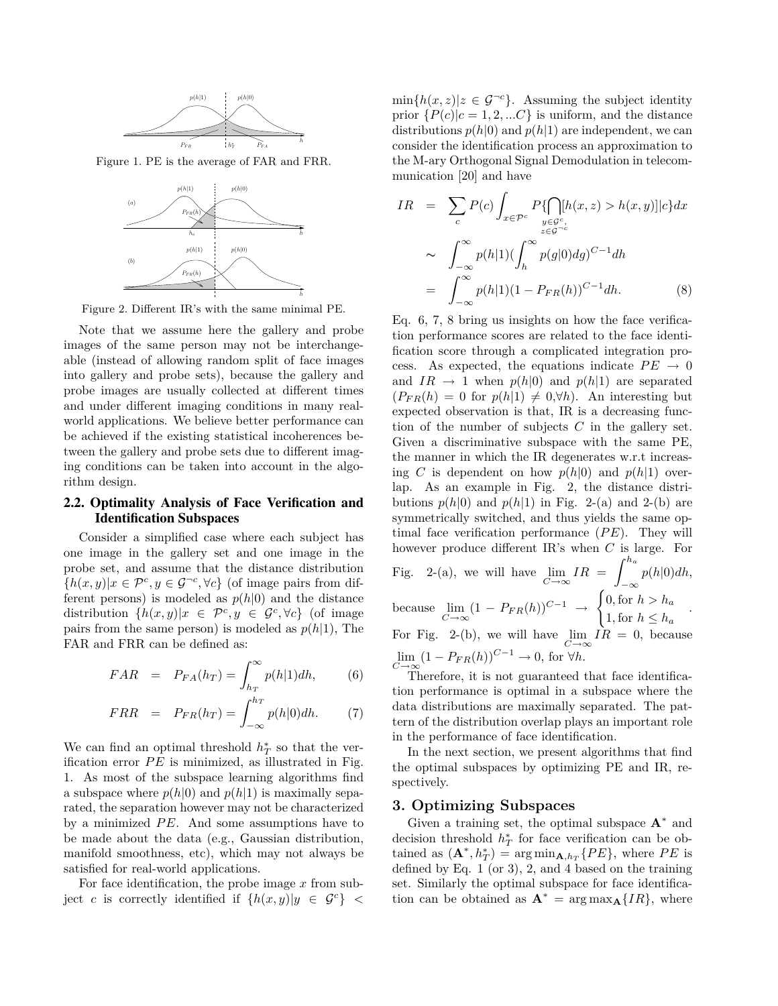

Figure 1. PE is the average of FAR and FRR.



Figure 2. Different IR's with the same minimal PE.

Note that we assume here the gallery and probe images of the same person may not be interchangeable (instead of allowing random split of face images into gallery and probe sets), because the gallery and probe images are usually collected at different times and under different imaging conditions in many realworld applications. We believe better performance can be achieved if the existing statistical incoherences between the gallery and probe sets due to different imaging conditions can be taken into account in the algorithm design.

## 2.2. Optimality Analysis of Face Verification and Identification Subspaces

Consider a simplified case where each subject has one image in the gallery set and one image in the probe set, and assume that the distance distribution  ${h(x, y)|x \in \mathcal{P}^c, y \in \mathcal{G}^{-c}, \forall c}$  (of image pairs from different persons) is modeled as  $p(h|0)$  and the distance distribution  $\{h(x, y)|x \in \mathcal{P}^c, y \in \mathcal{G}^c, \forall c\}$  (of image pairs from the same person) is modeled as  $p(h|1)$ , The FAR and FRR can be defined as:

$$
FAR = P_{FA}(h_T) = \int_{h_T}^{\infty} p(h|1)dh, \qquad (6)
$$

$$
FRR = P_{FR}(h_T) = \int_{-\infty}^{h_T} p(h|0)dh. \tag{7}
$$

We can find an optimal threshold  $h^*$ <sub>*T*</sub> so that the verification error  $PE$  is minimized, as illustrated in Fig. 1. As most of the subspace learning algorithms find a subspace where  $p(h|0)$  and  $p(h|1)$  is maximally separated, the separation however may not be characterized by a minimized PE. And some assumptions have to be made about the data (e.g., Gaussian distribution, manifold smoothness, etc), which may not always be satisfied for real-world applications.

For face identification, the probe image *x* from subject *c* is correctly identified if  $\{h(x,y)|y \in \mathcal{G}^c\}$  <  $\min\{h(x, z)|z \in \mathcal{G}^{-c}\}.$  Assuming the subject identity prior  $\{P(c)|c=1,2,...C\}$  is uniform, and the distance distributions  $p(h|0)$  and  $p(h|1)$  are independent, we can consider the identification process an approximation to the M-ary Orthogonal Signal Demodulation in telecommunication [20] and have

$$
IR = \sum_{c} P(c) \int_{x \in \mathcal{P}^c} P\{\bigcap_{y \in \mathcal{G}^c, \atop z \in \mathcal{G}^{-c}} [h(x, z) > h(x, y)] | c\} dx
$$
\n
$$
\sim \int_{-\infty}^{\infty} p(h|1) (\int_{h}^{\infty} p(g|0) dg)^{C-1} dh
$$
\n
$$
= \int_{-\infty}^{\infty} p(h|1) (1 - P_{FR}(h))^{C-1} dh. \tag{8}
$$

Eq. 6, 7, 8 bring us insights on how the face verification performance scores are related to the face identification score through a complicated integration process. As expected, the equations indicate  $PE \rightarrow 0$ and  $IR \rightarrow 1$  when  $p(h|0)$  and  $p(h|1)$  are separated  $(P_{FR}(h) = 0$  for  $p(h|1) \neq 0, \forall h$ . An interesting but expected observation is that, IR is a decreasing function of the number of subjects *C* in the gallery set. Given a discriminative subspace with the same PE, the manner in which the IR degenerates w.r.t increasing *C* is dependent on how  $p(h|0)$  and  $p(h|1)$  overlap. As an example in Fig. 2, the distance distributions  $p(h|0)$  and  $p(h|1)$  in Fig. 2-(a) and 2-(b) are symmetrically switched, and thus yields the same optimal face verification performance (*P E*). They will however produce different IR's when *C* is large. For Fig. 2-(a), we will have  $\lim_{C \to \infty} IR = \int_{-\infty}^{h_a}$ −∞ *p*(*h*|0)*dh*, because  $\lim_{C \to \infty} (1 - P_{FR}(h))^{C-1} \to$  $\int 0$ , for  $h > h_a$ 1, for  $h \leq h_a$ For Fig. 2-(b), we will have  $\lim_{C \to \infty} IR = 0$ , because  $\lim_{C \to \infty} (1 - P_{FR}(h))^{C-1} \to 0$ , for ∀*h*.

Therefore, it is not guaranteed that face identification performance is optimal in a subspace where the data distributions are maximally separated. The pattern of the distribution overlap plays an important role in the performance of face identification.

In the next section, we present algorithms that find the optimal subspaces by optimizing PE and IR, respectively.

## **3. Optimizing Subspaces**

Given a training set, the optimal subspace  $A^*$  and decision threshold  $h_T^*$  for face verification can be obtained as  $(\mathbf{A}^*, h_T^*) = \arg \min_{\mathbf{A}, h_T} \{PE\}$ , where *PE* is defined by Eq.  $1$  (or  $3$ ),  $2$ , and  $4$  based on the training set. Similarly the optimal subspace for face identification can be obtained as  $\mathbf{A}^* = \arg \max_{\mathbf{A}} \{IR\}$ , where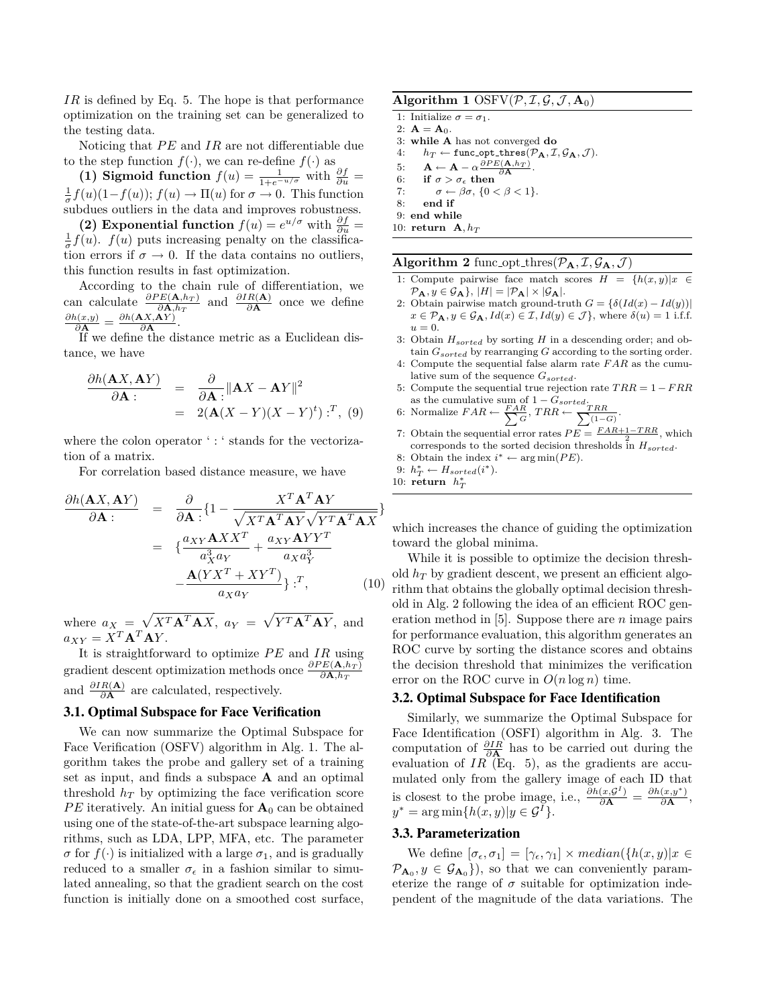*IR* is defined by Eq. 5. The hope is that performance optimization on the training set can be generalized to the testing data.

Noticing that *PE* and *IR* are not differentiable due to the step function  $f(\cdot)$ , we can re-define  $f(\cdot)$  as

(1) Sigmoid function  $f(u) = \frac{1}{1 + e^{-u/\sigma}}$  with  $\frac{\partial f}{\partial u} =$  $\frac{1}{\sigma}f(u)(1-f(u)); f(u) \to \Pi(u)$  for  $\sigma \to 0$ . This function subdues outliers in the data and improves robustness.

**(2) Exponential function**  $f(u) = e^{u/\sigma}$  with  $\frac{\partial f}{\partial u} =$  $\frac{1}{\sigma}f(u)$ .  $f(u)$  puts increasing penalty on the classification errors if  $\sigma \to 0$ . If the data contains no outliers, this function results in fast optimization.

According to the chain rule of differentiation, we can calculate  $\frac{\partial PE(\mathbf{A}, h_T)}{\partial \mathbf{A}, h_T}$  and  $\frac{\partial IR(\mathbf{A})}{\partial \mathbf{A}}$  once we define  $\frac{\partial h(x,y)}{\partial \mathbf{A}} = \frac{\partial h(\mathbf{A}X,\mathbf{A}Y)}{\partial \mathbf{A}}$  $\frac{(A, AY)}{\partial A}$ .

If we define the distance metric as a Euclidean distance, we have

$$
\frac{\partial h(\mathbf{A}X, \mathbf{A}Y)}{\partial \mathbf{A}} = \frac{\partial}{\partial \mathbf{A}} \|\mathbf{A}X - \mathbf{A}Y\|^2
$$
  
= 2(\mathbf{A}(X - Y)(X - Y)^t) :<sup>T</sup>, (9)

where the colon operator ': ' stands for the vectorization of a matrix.

For correlation based distance measure, we have

$$
\frac{\partial h(\mathbf{A}X, \mathbf{A}Y)}{\partial \mathbf{A}} = \frac{\partial}{\partial \mathbf{A}} \{1 - \frac{X^T \mathbf{A}^T \mathbf{A}Y}{\sqrt{X^T \mathbf{A}^T \mathbf{A} Y} \sqrt{Y^T \mathbf{A}^T \mathbf{A} X}}\}
$$
\n
$$
= \{ \frac{a_{XY} \mathbf{A}X X^T}{a_X^3 a_Y} + \frac{a_{XY} \mathbf{A}Y Y^T}{a_X a_Y^3} - \frac{\mathbf{A}(Y X^T + XY^T)}{a_X a_Y} \} \} \cdot^T, \tag{10}
$$

where  $a_X = \sqrt{X^T \mathbf{A}^T \mathbf{A} X}$ ,  $a_Y = \sqrt{Y^T \mathbf{A}^T \mathbf{A} Y}$ , and  $a_{XY} = X^T \mathbf{A}^T \mathbf{A} Y$ .

It is straightforward to optimize *P E* and *IR* using  $\alpha$ <sup>*BPE*(**A**,*h*<sub>*T*</sub></sub>)  $\delta$ **A**,*h*<sub>*T*</sub></sup> and  $\frac{\partial IR(A)}{\partial A}$  are calculated, respectively.

### 3.1. Optimal Subspace for Face Verification

We can now summarize the Optimal Subspace for Face Verification (OSFV) algorithm in Alg. 1. The algorithm takes the probe and gallery set of a training set as input, and finds a subspace **A** and an optimal threshold  $h_T$  by optimizing the face verification score  $PE$  iteratively. An initial guess for  $\mathbf{A}_0$  can be obtained using one of the state-of-the-art subspace learning algorithms, such as LDA, LPP, MFA, etc. The parameter *σ* for  $f(·)$  is initialized with a large  $σ_1$ , and is gradually reduced to a smaller  $\sigma_{\epsilon}$  in a fashion similar to simulated annealing, so that the gradient search on the cost function is initially done on a smoothed cost surface,

**Algorithm 1** OSFV $(\mathcal{P}, \mathcal{I}, \mathcal{G}, \mathcal{J}, \mathbf{A}_0)$ 1: Initialize  $\sigma = \sigma_1$ . 2:  $\mathbf{A} = \mathbf{A}_0$ .<br>3: while **A** 3: **while A** has not converged **do** 4:  $h_T \leftarrow \text{func\_opt\_thres}(\mathcal{P}_A, \mathcal{I}, \mathcal{G}_A, \mathcal{J}).$ 5: **A** ← **A** –  $\alpha \frac{\partial PE(\mathbf{A}, h_T)}{\partial \mathbf{A}}$ . 6: **if**  $\sigma > \sigma_{\epsilon}$  then 7:  $\sigma \leftarrow \beta \sigma, \{0 < \beta < 1\}.$ 8: **end if** 9: **end while** 10: **return**  $A, h_T$ 

 $\overline{\textbf{Algorithm 2} }$  func\_opt\_thres( $\mathcal{P}_{\textbf{A}}, \mathcal{I}, \mathcal{G}_{\textbf{A}}, \mathcal{J}$ )

- 1: Compute pairwise face match scores  $H = \{h(x, y)|x \in$  $\mathcal{P}_{\mathbf{A}}$ ,  $y \in \mathcal{G}_{\mathbf{A}}$ ,  $|H| = |\mathcal{P}_{\mathbf{A}}| \times |\mathcal{G}_{\mathbf{A}}|$ .
- 2: Obtain pairwise match ground-truth  $G = \{\delta(Id(x) Id(y))\}$  $x \in \mathcal{P}_{\mathbf{A}}, y \in \mathcal{G}_{\mathbf{A}}, Id(x) \in \mathcal{I}, Id(y) \in \mathcal{J}$ , where  $\delta(u) = 1$  i.f.f.  $u = 0$ .
- 3: Obtain *Hsorted* by sorting *H* in a descending order; and obtain  $G_{sorted}$  by rearranging  $G$  according to the sorting order.
- 4: Compute the sequential false alarm rate *F AR* as the cumulative sum of the sequence *Gsorted*.
- 5: Compute the sequential true rejection rate *T RR* = 1 − *F RR*
- as the cumulative sum of  $1 G_{sorted}$ .<br>6: Normalize  $FAR \leftarrow \frac{FAR}{\sum G}$ ,  $TRR \leftarrow \frac{TRR}{\sum (1-G)}$ .
- 7: Obtain the sequential error rates  $PE = \frac{FAR+1-TRR}{2}$ , which corresponds to the sorted decision thresholds in *Hsorted*.
- 8: Obtain the index  $i^* \leftarrow \arg \min (PE)$ .
- 9:  $h_T^* \leftarrow H_{sorted}(i^*).$
- 10: **return**  $h^*$

which increases the chance of guiding the optimization toward the global minima.

While it is possible to optimize the decision threshold  $h_T$  by gradient descent, we present an efficient algorithm that obtains the globally optimal decision threshold in Alg. 2 following the idea of an efficient ROC generation method in [5]. Suppose there are *n* image pairs for performance evaluation, this algorithm generates an ROC curve by sorting the distance scores and obtains the decision threshold that minimizes the verification error on the ROC curve in  $O(n \log n)$  time.

## 3.2. Optimal Subspace for Face Identification

Similarly, we summarize the Optimal Subspace for Face Identification (OSFI) algorithm in Alg. 3. The computation of *∂IR ∂***A** has to be carried out during the evaluation of  $IR$ <sup> $\check{E}q$ </sup>. 5), as the gradients are accumulated only from the gallery image of each ID that is closest to the probe image, i.e.,  $\frac{\partial h(x, \mathcal{G}^I)}{\partial \mathbf{A}} = \frac{\partial h(x, y^*)}{\partial \mathbf{A}}$  $\frac{(x,y)}{\partial \mathbf{A}}$ <sup>,</sup>  $y^* = \arg \min \{ h(x, y) | y \in \mathcal{G}^I \}.$ 

#### 3.3. Parameterization

We define  $[\sigma_{\epsilon}, \sigma_1] = [\gamma_{\epsilon}, \gamma_1] \times median(\{h(x, y)|x \in$  $\mathcal{P}_{\mathbf{A}_0}, y \in \mathcal{G}_{\mathbf{A}_0}$ , so that we can conveniently parameterize the range of  $\sigma$  suitable for optimization independent of the magnitude of the data variations. The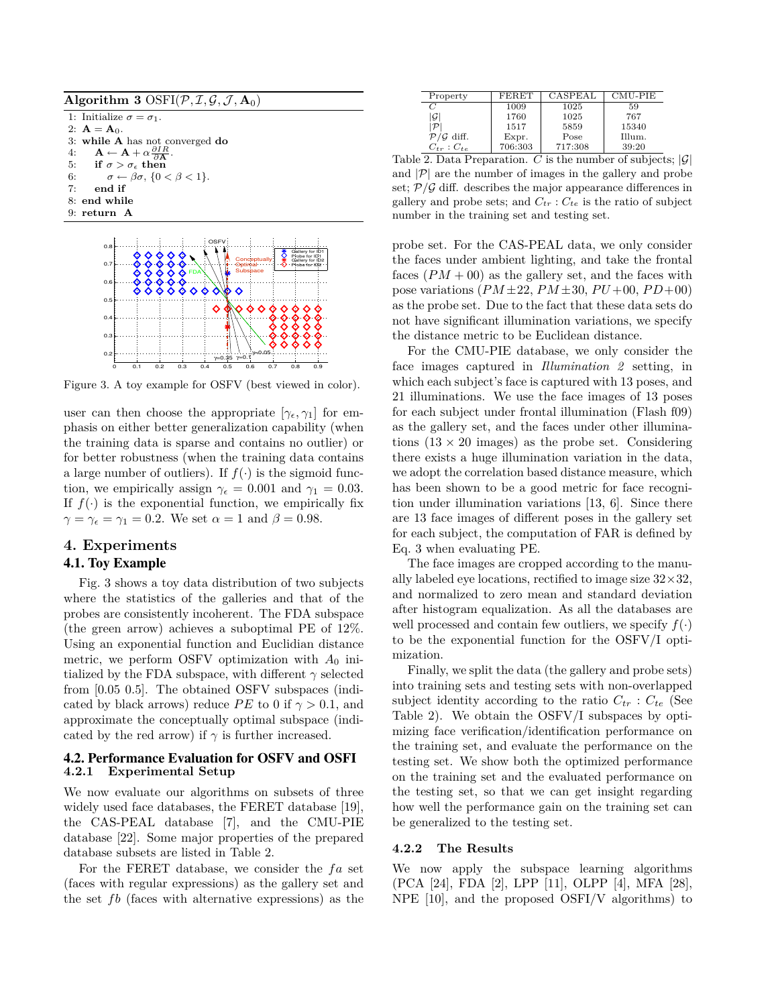| Algorithm 3 OSFI( $\mathcal{P}, \mathcal{I}, \mathcal{G}, \mathcal{J}, \mathbf{A}_0$ )   |
|------------------------------------------------------------------------------------------|
| 1: Initialize $\sigma = \sigma_1$ .                                                      |
| 2: $A = A_0$ .                                                                           |
| 3: while $A$ has not converged do                                                        |
| 4: $\mathbf{A} \leftarrow \mathbf{A} + \alpha \frac{\partial IR}{\partial \mathbf{A}}$ . |
| 5: if $\sigma > \sigma_{\epsilon}$ then                                                  |
| $\sigma \leftarrow \beta \sigma$ , $\{0 \lt \beta \lt 1\}$ .<br>6:                       |
| 7:<br>end if                                                                             |
| 8: end while                                                                             |
| $9:$ return $A$                                                                          |
|                                                                                          |



Figure 3. A toy example for OSFV (best viewed in color).

user can then choose the appropriate  $[\gamma_{\epsilon}, \gamma_1]$  for emphasis on either better generalization capability (when the training data is sparse and contains no outlier) or for better robustness (when the training data contains a large number of outliers). If  $f(\cdot)$  is the sigmoid function, we empirically assign  $\gamma_{\epsilon} = 0.001$  and  $\gamma_1 = 0.03$ . If  $f(\cdot)$  is the exponential function, we empirically fix  $\gamma = \gamma_{\epsilon} = \gamma_1 = 0.2$ . We set  $\alpha = 1$  and  $\beta = 0.98$ .

# **4. Experiments**

## 4.1. Toy Example

Fig. 3 shows a toy data distribution of two subjects where the statistics of the galleries and that of the probes are consistently incoherent. The FDA subspace (the green arrow) achieves a suboptimal PE of 12%. Using an exponential function and Euclidian distance metric, we perform OSFV optimization with  $A_0$  initialized by the FDA subspace, with different *γ* selected from [0.05 0.5]. The obtained OSFV subspaces (indicated by black arrows) reduce *PE* to 0 if  $\gamma > 0.1$ , and approximate the conceptually optimal subspace (indicated by the red arrow) if  $\gamma$  is further increased.

### 4.2. Performance Evaluation for OSFV and OSFI **4.2.1 Experimental Setup**

We now evaluate our algorithms on subsets of three widely used face databases, the FERET database [19], the CAS-PEAL database [7], and the CMU-PIE database [22]. Some major properties of the prepared database subsets are listed in Table 2.

For the FERET database, we consider the fa set (faces with regular expressions) as the gallery set and the set *fb* (faces with alternative expressions) as the

| Property                        | <b>FERET</b> | CASPEAL | CMU-PIE |
|---------------------------------|--------------|---------|---------|
| $\mathcal{C}$                   | 1009         | 1025    | 59      |
| $\mathcal G$                    | 1760         | 1025    | 767     |
| $\mathcal{P}$                   | 1517         | 5859    | 15340   |
| $\mathcal{P}/\mathcal{G}$ diff. | Expr.        | Pose    | Illum.  |
| $C_{tr}: C_{te}$                | 706:303      | 717:308 | 39:20   |

Table 2. Data Preparation. *C* is the number of subjects;  $|\mathcal{G}|$ and  $|\mathcal{P}|$  are the number of images in the gallery and probe set;  $P/G$  diff. describes the major appearance differences in gallery and probe sets; and  $C_{tr}$ :  $C_{te}$  is the ratio of subject number in the training set and testing set.

probe set. For the CAS-PEAL data, we only consider the faces under ambient lighting, and take the frontal faces  $(PM + 00)$  as the gallery set, and the faces with pose variations  $(PM \pm 22, PM \pm 30, PU + 00, PD + 00)$ as the probe set. Due to the fact that these data sets do not have significant illumination variations, we specify the distance metric to be Euclidean distance.

For the CMU-PIE database, we only consider the face images captured in *Illumination 2* setting, in which each subject's face is captured with 13 poses, and 21 illuminations. We use the face images of 13 poses for each subject under frontal illumination (Flash f09) as the gallery set, and the faces under other illuminations  $(13 \times 20 \text{ images})$  as the probe set. Considering there exists a huge illumination variation in the data, we adopt the correlation based distance measure, which has been shown to be a good metric for face recognition under illumination variations [13, 6]. Since there are 13 face images of different poses in the gallery set for each subject, the computation of FAR is defined by Eq. 3 when evaluating PE.

The face images are cropped according to the manually labeled eye locations, rectified to image size  $32 \times 32$ , and normalized to zero mean and standard deviation after histogram equalization. As all the databases are well processed and contain few outliers, we specify  $f(.)$ to be the exponential function for the OSFV/I optimization.

Finally, we split the data (the gallery and probe sets) into training sets and testing sets with non-overlapped subject identity according to the ratio  $C_{tr}$ :  $C_{te}$  (See Table 2). We obtain the OSFV/I subspaces by optimizing face verification/identification performance on the training set, and evaluate the performance on the testing set. We show both the optimized performance on the training set and the evaluated performance on the testing set, so that we can get insight regarding how well the performance gain on the training set can be generalized to the testing set.

### **4.2.2 The Results**

We now apply the subspace learning algorithms (PCA [24], FDA [2], LPP [11], OLPP [4], MFA [28], NPE [10], and the proposed OSFI/V algorithms) to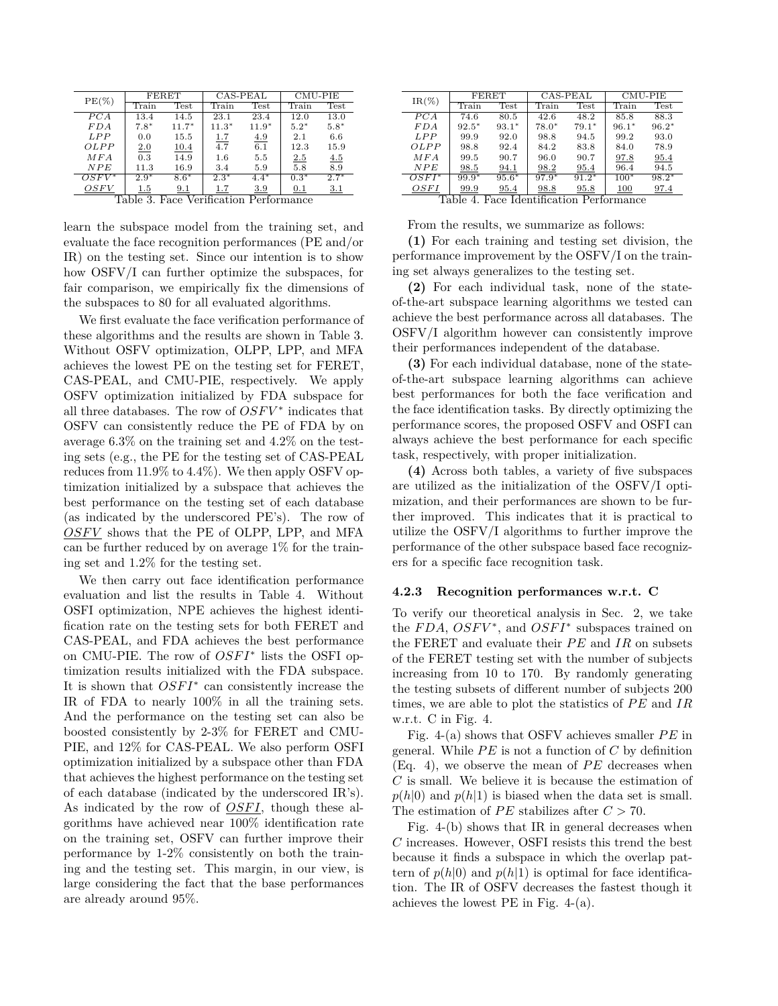| $PE(\%)$                      | FERET              |         | CAS-PEAL         |         | CMU-PIE |        |
|-------------------------------|--------------------|---------|------------------|---------|---------|--------|
|                               | Train              | Test    | Train            | Test    | Train   | Test   |
| PCA                           | 13.4               | 14.5    | 23.1             | 23.4    | 12.0    | 13.0   |
| FDA                           | $7.8*$             | $11.7*$ | $11.3*$          | $11.9*$ | $5.2*$  | $5.8*$ |
| <b>LPP</b>                    | 0.0                | 15.5    | 1.7              | 4.9     | 2.1     | 6.6    |
| OLPP                          | 2.0                | 10.4    | $\overline{4.7}$ | 6.1     | 12.3    | 15.9   |
| MFA                           | 0.3                | 14.9    | 1.6              | 5.5     | 2.5     | 4.5    |
| NPE                           | 11.3               | 16.9    | 3.4              | 5.9     | 5.8     | 8.9    |
| $OSFV^*$                      | $2.\overline{9^*}$ | $8.6*$  | $2.3*$           | $4.4*$  | $0.3*$  | $2.7*$ |
| OSFV                          | $1.5\,$            | 9.1     | 1.7              | 3.9     | 0.1     | 3.1    |
| Face Verification Performance |                    |         |                  |         |         |        |

learn the subspace model from the training set, and evaluate the face recognition performances (PE and/or IR) on the testing set. Since our intention is to show how OSFV/I can further optimize the subspaces, for fair comparison, we empirically fix the dimensions of the subspaces to 80 for all evaluated algorithms.

We first evaluate the face verification performance of these algorithms and the results are shown in Table 3. Without OSFV optimization, OLPP, LPP, and MFA achieves the lowest PE on the testing set for FERET, CAS-PEAL, and CMU-PIE, respectively. We apply OSFV optimization initialized by FDA subspace for all three databases. The row of  $OSFV^*$  indicates that OSFV can consistently reduce the PE of FDA by on average 6.3% on the training set and 4.2% on the testing sets (e.g., the PE for the testing set of CAS-PEAL reduces from 11.9% to 4.4%). We then apply OSFV optimization initialized by a subspace that achieves the best performance on the testing set of each database (as indicated by the underscored PE's). The row of *OSFV* shows that the PE of OLPP, LPP, and MFA can be further reduced by on average 1% for the training set and 1.2% for the testing set.

We then carry out face identification performance evaluation and list the results in Table 4. Without OSFI optimization, NPE achieves the highest identification rate on the testing sets for both FERET and CAS-PEAL, and FDA achieves the best performance on CMU-PIE. The row of  $OSFI^*$  lists the OSFI optimization results initialized with the FDA subspace. It is shown that  $OSFI^*$  can consistently increase the IR of FDA to nearly 100% in all the training sets. And the performance on the testing set can also be boosted consistently by 2-3% for FERET and CMU-PIE, and 12% for CAS-PEAL. We also perform OSFI optimization initialized by a subspace other than FDA that achieves the highest performance on the testing set of each database (indicated by the underscored IR's). As indicated by the row of *OSFI*, though these algorithms have achieved near 100% identification rate on the training set, OSFV can further improve their performance by 1-2% consistently on both the training and the testing set. This margin, in our view, is large considering the fact that the base performances are already around 95%.

| $IR(\%)$   | FERET                           |             | CAS-PEAL              |                     | $CMU-PIE$ |         |
|------------|---------------------------------|-------------|-----------------------|---------------------|-----------|---------|
|            | $\operatorname{Train}$          | Test        | Train                 | Test                | Train     | Test    |
| PCA        | 74.6                            | 80.5        | 42.6                  | 48.2                | 85.8      | 88.3    |
| F D A      | $92.5*$                         | $93.1*$     | $78.0*$               | $79.1*$             | $96.1*$   | $96.2*$ |
| <b>LPP</b> | 99.9                            | 92.0        | 98.8                  | 94.5                | 99.2      | 93.0    |
| OLPP       | 98.8                            | 92.4        | 84.2                  | 83.8                | 84.0      | 78.9    |
| MFA        | 99.5                            | 90.7        | 96.0                  | 90.7                | 97.8      | 95.4    |
| NPE        | 98.5                            | 94.1        | 98.2                  | 95.4                | 96.4      | 94.5    |
| $OSFI^*$   | $99.9^{*}$                      | $95.6*$     | $97.9*$               | $91.2*$             | $100*$    | $98.2*$ |
| OSFI<br>-- | 99.9<br>. .<br>$\sim$<br>$\sim$ | 95.4<br>. . | 98.8<br>$\sim$ $\sim$ | 95.8<br>$\sim$<br>- | 100       | 97.4    |

Table 4. Face Identification Performance

From the results, we summarize as follows:

**(1)** For each training and testing set division, the performance improvement by the OSFV/I on the training set always generalizes to the testing set.

**(2)** For each individual task, none of the stateof-the-art subspace learning algorithms we tested can achieve the best performance across all databases. The OSFV/I algorithm however can consistently improve their performances independent of the database.

**(3)** For each individual database, none of the stateof-the-art subspace learning algorithms can achieve best performances for both the face verification and the face identification tasks. By directly optimizing the performance scores, the proposed OSFV and OSFI can always achieve the best performance for each specific task, respectively, with proper initialization.

**(4)** Across both tables, a variety of five subspaces are utilized as the initialization of the OSFV/I optimization, and their performances are shown to be further improved. This indicates that it is practical to utilize the OSFV/I algorithms to further improve the performance of the other subspace based face recognizers for a specific face recognition task.

### **4.2.3 Recognition performances w.r.t. C**

To verify our theoretical analysis in Sec. 2, we take the  $FDA$ ,  $OSFV^*$ , and  $OSFI^*$  subspaces trained on the FERET and evaluate their *PE* and *IR* on subsets of the FERET testing set with the number of subjects increasing from 10 to 170. By randomly generating the testing subsets of different number of subjects 200 times, we are able to plot the statistics of  $PE$  and  $IR$ w.r.t. C in Fig. 4.

Fig. 4-(a) shows that OSFV achieves smaller *PE* in general. While  $PE$  is not a function of  $C$  by definition  $(Eq. 4)$ , we observe the mean of  $PE$  decreases when *C* is small. We believe it is because the estimation of  $p(h|0)$  and  $p(h|1)$  is biased when the data set is small. The estimation of  $PE$  stabilizes after  $C > 70$ .

Fig. 4-(b) shows that IR in general decreases when *C* increases. However, OSFI resists this trend the best because it finds a subspace in which the overlap pattern of  $p(h|0)$  and  $p(h|1)$  is optimal for face identification. The IR of OSFV decreases the fastest though it achieves the lowest PE in Fig. 4-(a).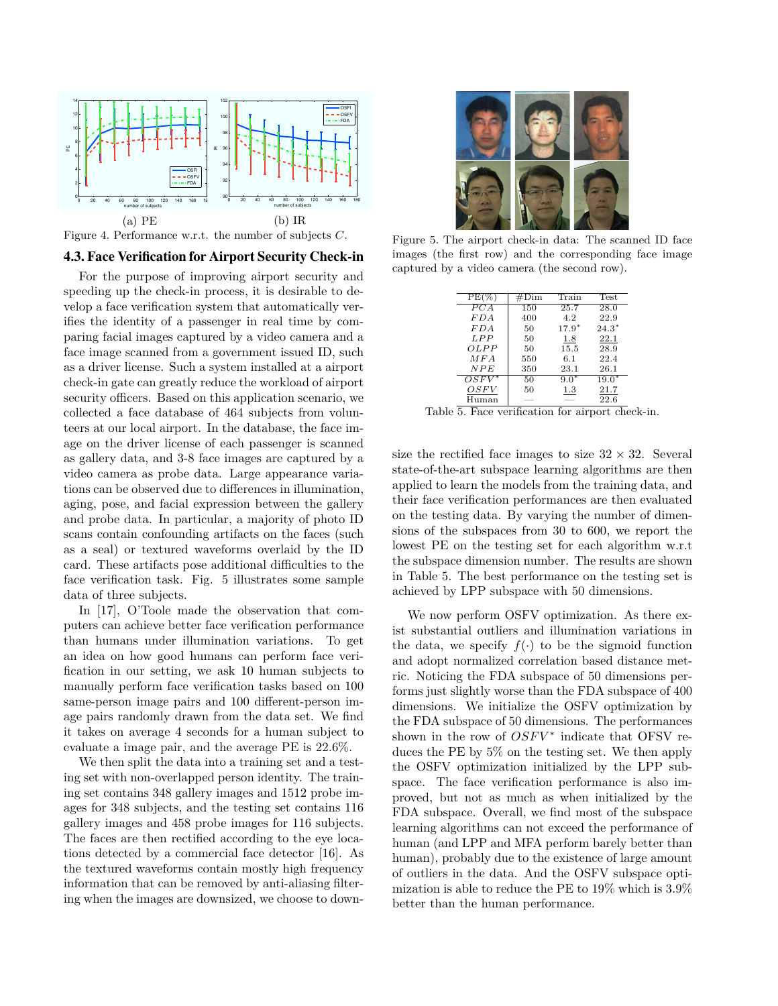

Figure 4. Performance w.r.t. the number of subjects *C*.

### 4.3. Face Verification for Airport Security Check-in

For the purpose of improving airport security and speeding up the check-in process, it is desirable to develop a face verification system that automatically verifies the identity of a passenger in real time by comparing facial images captured by a video camera and a face image scanned from a government issued ID, such as a driver license. Such a system installed at a airport check-in gate can greatly reduce the workload of airport security officers. Based on this application scenario, we collected a face database of 464 subjects from volunteers at our local airport. In the database, the face image on the driver license of each passenger is scanned as gallery data, and 3-8 face images are captured by a video camera as probe data. Large appearance variations can be observed due to differences in illumination, aging, pose, and facial expression between the gallery and probe data. In particular, a majority of photo ID scans contain confounding artifacts on the faces (such as a seal) or textured waveforms overlaid by the ID card. These artifacts pose additional difficulties to the face verification task. Fig. 5 illustrates some sample data of three subjects.

In [17], O'Toole made the observation that computers can achieve better face verification performance than humans under illumination variations. To get an idea on how good humans can perform face verification in our setting, we ask 10 human subjects to manually perform face verification tasks based on 100 same-person image pairs and 100 different-person image pairs randomly drawn from the data set. We find it takes on average 4 seconds for a human subject to evaluate a image pair, and the average PE is 22.6%.

We then split the data into a training set and a testing set with non-overlapped person identity. The training set contains 348 gallery images and 1512 probe images for 348 subjects, and the testing set contains 116 gallery images and 458 probe images for 116 subjects. The faces are then rectified according to the eye locations detected by a commercial face detector [16]. As the textured waveforms contain mostly high frequency information that can be removed by anti-aliasing filtering when the images are downsized, we choose to down-



Figure 5. The airport check-in data: The scanned ID face images (the first row) and the corresponding face image captured by a video camera (the second row).

| $PE(\%$    | #Dim | Train   | <b>Test</b> |
|------------|------|---------|-------------|
| PCA        | 150  | 25.7    | 28.0        |
| FDA        | 400  | 4.2     | 22.9        |
| FDA        | 50   | $17.9*$ | $24.3*$     |
| <b>LPP</b> | 50   | 1.8     | 22.1        |
| OLPP       | 50   | 15.5    | 28.9        |
| MFA        | 550  | 6.1     | 22.4        |
| NPE        | 350  | 23.1    | 26.1        |
| $OSFV^*$   | 50   | $9.0*$  | $19.0*$     |
| OSFV       | 50   | 1.3     | 21.7        |
| Human      |      |         | 22.6        |

Table 5. Face verification for airport check-in.

size the rectified face images to size  $32 \times 32$ . Several state-of-the-art subspace learning algorithms are then applied to learn the models from the training data, and their face verification performances are then evaluated on the testing data. By varying the number of dimensions of the subspaces from 30 to 600, we report the lowest PE on the testing set for each algorithm w.r.t the subspace dimension number. The results are shown in Table 5. The best performance on the testing set is achieved by LPP subspace with 50 dimensions.

We now perform OSFV optimization. As there exist substantial outliers and illumination variations in the data, we specify  $f(\cdot)$  to be the sigmoid function and adopt normalized correlation based distance metric. Noticing the FDA subspace of 50 dimensions performs just slightly worse than the FDA subspace of 400 dimensions. We initialize the OSFV optimization by the FDA subspace of 50 dimensions. The performances shown in the row of  $OSFV^*$  indicate that OFSV reduces the PE by 5% on the testing set. We then apply the OSFV optimization initialized by the LPP subspace. The face verification performance is also improved, but not as much as when initialized by the FDA subspace. Overall, we find most of the subspace learning algorithms can not exceed the performance of human (and LPP and MFA perform barely better than human), probably due to the existence of large amount of outliers in the data. And the OSFV subspace optimization is able to reduce the PE to 19% which is 3.9% better than the human performance.